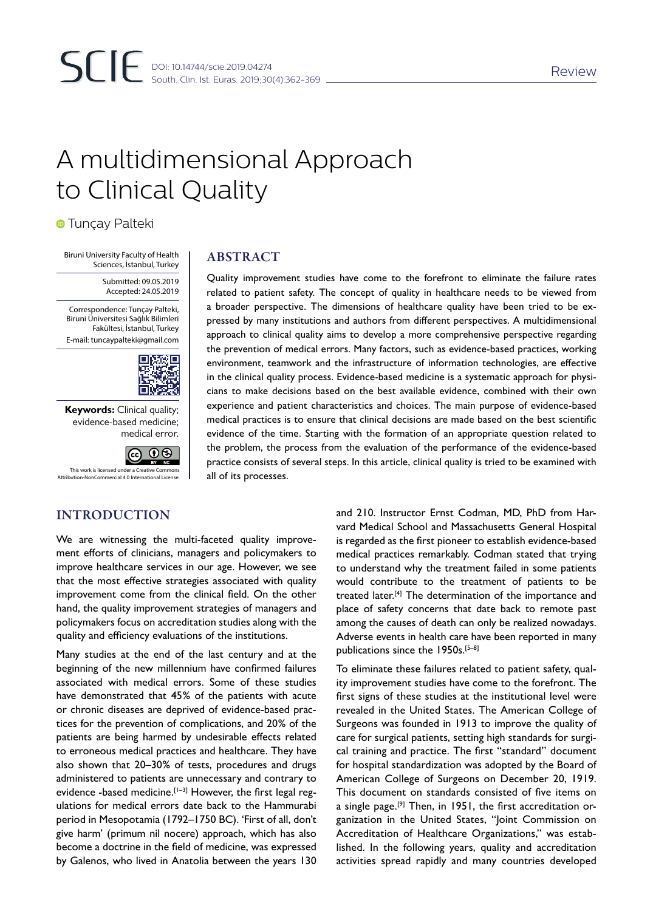# A multidimensional Approach to Clinical Quality

**• Tunçay Palteki** 

Biruni University Faculty of Health Sciences, İstanbul, Turkey

> Submitted: 09.05.2019 Accepted: 24.05.2019

Correspondence: Tunçay Palteki, Biruni Üniversitesi Sağlık Bilimleri Fakültesi, İstanbul, Turkey E-mail: tuncaypalteki@gmail.com



**Keywords:** Clinical quality; evidence-based medicine; medical error.

INTRODUCTION



ABSTRACT

related to patient safety. The concept of quality in healthcare needs to be viewed from a broader perspective. The dimensions of healthcare quality have been tried to be expressed by many institutions and authors from different perspectives. A multidimensional approach to clinical quality aims to develop a more comprehensive perspective regarding the prevention of medical errors. Many factors, such as evidence-based practices, working environment, teamwork and the infrastructure of information technologies, are effective in the clinical quality process. Evidence-based medicine is a systematic approach for physicians to make decisions based on the best available evidence, combined with their own experience and patient characteristics and choices. The main purpose of evidence-based medical practices is to ensure that clinical decisions are made based on the best scientific evidence of the time. Starting with the formation of an appropriate question related to the problem, the process from the evaluation of the performance of the evidence-based practice consists of several steps. In this article, clinical quality is tried to be examined with all of its processes.

Quality improvement studies have come to the forefront to eliminate the failure rates

We are witnessing the multi-faceted quality improvement efforts of clinicians, managers and policymakers to improve healthcare services in our age. However, we see that the most effective strategies associated with quality improvement come from the clinical field. On the other hand, the quality improvement strategies of managers and policymakers focus on accreditation studies along with the quality and efficiency evaluations of the institutions.

Many studies at the end of the last century and at the beginning of the new millennium have confirmed failures associated with medical errors. Some of these studies have demonstrated that 45% of the patients with acute or chronic diseases are deprived of evidence-based practices for the prevention of complications, and 20% of the patients are being harmed by undesirable effects related to erroneous medical practices and healthcare. They have also shown that 20–30% of tests, procedures and drugs administered to patients are unnecessary and contrary to evidence -based medicine. $[1-3]$  However, the first legal regulations for medical errors date back to the Hammurabi period in Mesopotamia (1792–1750 BC). 'First of all, don't give harm' (primum nil nocere) approach, which has also become a doctrine in the field of medicine, was expressed by Galenos, who lived in Anatolia between the years 130

and 210. Instructor Ernst Codman, MD, PhD from Harvard Medical School and Massachusetts General Hospital is regarded as the first pioneer to establish evidence-based medical practices remarkably. Codman stated that trying to understand why the treatment failed in some patients would contribute to the treatment of patients to be treated later.<sup>[4]</sup> The determination of the importance and place of safety concerns that date back to remote past among the causes of death can only be realized nowadays. Adverse events in health care have been reported in many publications since the 1950s.[5–8]

To eliminate these failures related to patient safety, quality improvement studies have come to the forefront. The first signs of these studies at the institutional level were revealed in the United States. The American College of Surgeons was founded in 1913 to improve the quality of care for surgical patients, setting high standards for surgical training and practice. The first "standard" document for hospital standardization was adopted by the Board of American College of Surgeons on December 20, 1919. This document on standards consisted of five items on a single page.<sup>[9]</sup> Then, in 1951, the first accreditation organization in the United States, "Joint Commission on Accreditation of Healthcare Organizations," was established. In the following years, quality and accreditation activities spread rapidly and many countries developed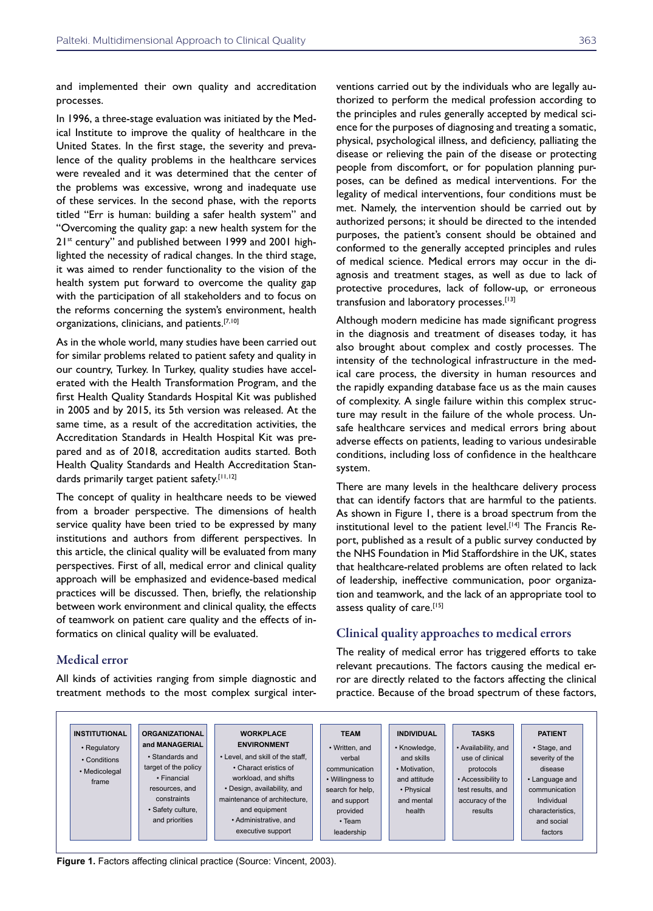and implemented their own quality and accreditation processes.

In 1996, a three-stage evaluation was initiated by the Medical Institute to improve the quality of healthcare in the United States. In the first stage, the severity and prevalence of the quality problems in the healthcare services were revealed and it was determined that the center of the problems was excessive, wrong and inadequate use of these services. In the second phase, with the reports titled "Err is human: building a safer health system" and "Overcoming the quality gap: a new health system for the 21<sup>st</sup> century" and published between 1999 and 2001 highlighted the necessity of radical changes. In the third stage, it was aimed to render functionality to the vision of the health system put forward to overcome the quality gap with the participation of all stakeholders and to focus on the reforms concerning the system's environment, health organizations, clinicians, and patients.[7,10]

As in the whole world, many studies have been carried out for similar problems related to patient safety and quality in our country, Turkey. In Turkey, quality studies have accelerated with the Health Transformation Program, and the first Health Quality Standards Hospital Kit was published in 2005 and by 2015, its 5th version was released. At the same time, as a result of the accreditation activities, the Accreditation Standards in Health Hospital Kit was prepared and as of 2018, accreditation audits started. Both Health Quality Standards and Health Accreditation Standards primarily target patient safety.[11,12]

The concept of quality in healthcare needs to be viewed from a broader perspective. The dimensions of health service quality have been tried to be expressed by many institutions and authors from different perspectives. In this article, the clinical quality will be evaluated from many perspectives. First of all, medical error and clinical quality approach will be emphasized and evidence-based medical practices will be discussed. Then, briefly, the relationship between work environment and clinical quality, the effects of teamwork on patient care quality and the effects of informatics on clinical quality will be evaluated.

### Medical error

All kinds of activities ranging from simple diagnostic and treatment methods to the most complex surgical interventions carried out by the individuals who are legally authorized to perform the medical profession according to the principles and rules generally accepted by medical science for the purposes of diagnosing and treating a somatic, physical, psychological illness, and deficiency, palliating the disease or relieving the pain of the disease or protecting people from discomfort, or for population planning purposes, can be defined as medical interventions. For the legality of medical interventions, four conditions must be met. Namely, the intervention should be carried out by authorized persons; it should be directed to the intended purposes, the patient's consent should be obtained and conformed to the generally accepted principles and rules of medical science. Medical errors may occur in the diagnosis and treatment stages, as well as due to lack of protective procedures, lack of follow-up, or erroneous transfusion and laboratory processes.[13]

Although modern medicine has made significant progress in the diagnosis and treatment of diseases today, it has also brought about complex and costly processes. The intensity of the technological infrastructure in the medical care process, the diversity in human resources and the rapidly expanding database face us as the main causes of complexity. A single failure within this complex structure may result in the failure of the whole process. Unsafe healthcare services and medical errors bring about adverse effects on patients, leading to various undesirable conditions, including loss of confidence in the healthcare system.

There are many levels in the healthcare delivery process that can identify factors that are harmful to the patients. As shown in Figure 1, there is a broad spectrum from the institutional level to the patient level.<sup>[14]</sup> The Francis Report, published as a result of a public survey conducted by the NHS Foundation in Mid Staffordshire in the UK, states that healthcare-related problems are often related to lack of leadership, ineffective communication, poor organization and teamwork, and the lack of an appropriate tool to assess quality of care.[15]

### Clinical quality approaches to medical errors

The reality of medical error has triggered efforts to take relevant precautions. The factors causing the medical error are directly related to the factors affecting the clinical practice. Because of the broad spectrum of these factors,



**Figure 1.** Factors affecting clinical practice (Source: Vincent, 2003).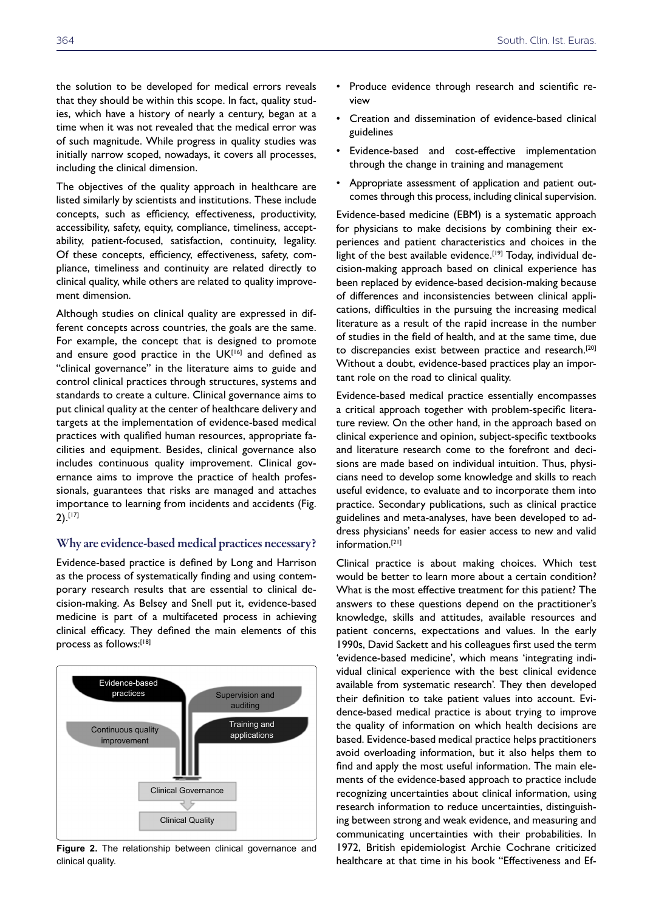the solution to be developed for medical errors reveals that they should be within this scope. In fact, quality studies, which have a history of nearly a century, began at a time when it was not revealed that the medical error was of such magnitude. While progress in quality studies was initially narrow scoped, nowadays, it covers all processes, including the clinical dimension.

The objectives of the quality approach in healthcare are listed similarly by scientists and institutions. These include concepts, such as efficiency, effectiveness, productivity, accessibility, safety, equity, compliance, timeliness, acceptability, patient-focused, satisfaction, continuity, legality. Of these concepts, efficiency, effectiveness, safety, compliance, timeliness and continuity are related directly to clinical quality, while others are related to quality improvement dimension.

Although studies on clinical quality are expressed in different concepts across countries, the goals are the same. For example, the concept that is designed to promote and ensure good practice in the  $UK^{[16]}$  and defined as "clinical governance" in the literature aims to guide and control clinical practices through structures, systems and standards to create a culture. Clinical governance aims to put clinical quality at the center of healthcare delivery and targets at the implementation of evidence-based medical practices with qualified human resources, appropriate facilities and equipment. Besides, clinical governance also includes continuous quality improvement. Clinical governance aims to improve the practice of health professionals, guarantees that risks are managed and attaches importance to learning from incidents and accidents (Fig. 2).[17]

#### Why are evidence-based medical practices necessary?

Evidence-based practice is defined by Long and Harrison as the process of systematically finding and using contemporary research results that are essential to clinical decision-making. As Belsey and Snell put it, evidence-based medicine is part of a multifaceted process in achieving clinical efficacy. They defined the main elements of this process as follows:[18]



**Figure 2.** The relationship between clinical governance and clinical quality.

- Produce evidence through research and scientific review
- Creation and dissemination of evidence-based clinical guidelines
- Evidence-based and cost-effective implementation through the change in training and management
- Appropriate assessment of application and patient outcomes through this process, including clinical supervision.

Evidence-based medicine (EBM) is a systematic approach for physicians to make decisions by combining their experiences and patient characteristics and choices in the light of the best available evidence.<sup>[19]</sup> Today, individual decision-making approach based on clinical experience has been replaced by evidence-based decision-making because of differences and inconsistencies between clinical applications, difficulties in the pursuing the increasing medical literature as a result of the rapid increase in the number of studies in the field of health, and at the same time, due to discrepancies exist between practice and research.[20] Without a doubt, evidence-based practices play an important role on the road to clinical quality.

Evidence-based medical practice essentially encompasses a critical approach together with problem-specific literature review. On the other hand, in the approach based on clinical experience and opinion, subject-specific textbooks and literature research come to the forefront and decisions are made based on individual intuition. Thus, physicians need to develop some knowledge and skills to reach useful evidence, to evaluate and to incorporate them into practice. Secondary publications, such as clinical practice guidelines and meta-analyses, have been developed to address physicians' needs for easier access to new and valid information.[21]

Clinical practice is about making choices. Which test would be better to learn more about a certain condition? What is the most effective treatment for this patient? The answers to these questions depend on the practitioner's knowledge, skills and attitudes, available resources and patient concerns, expectations and values. In the early 1990s, David Sackett and his colleagues first used the term 'evidence-based medicine', which means 'integrating individual clinical experience with the best clinical evidence available from systematic research'. They then developed their definition to take patient values into account. Evidence-based medical practice is about trying to improve the quality of information on which health decisions are based. Evidence-based medical practice helps practitioners avoid overloading information, but it also helps them to find and apply the most useful information. The main elements of the evidence-based approach to practice include recognizing uncertainties about clinical information, using research information to reduce uncertainties, distinguishing between strong and weak evidence, and measuring and communicating uncertainties with their probabilities. In 1972, British epidemiologist Archie Cochrane criticized healthcare at that time in his book "Effectiveness and Ef-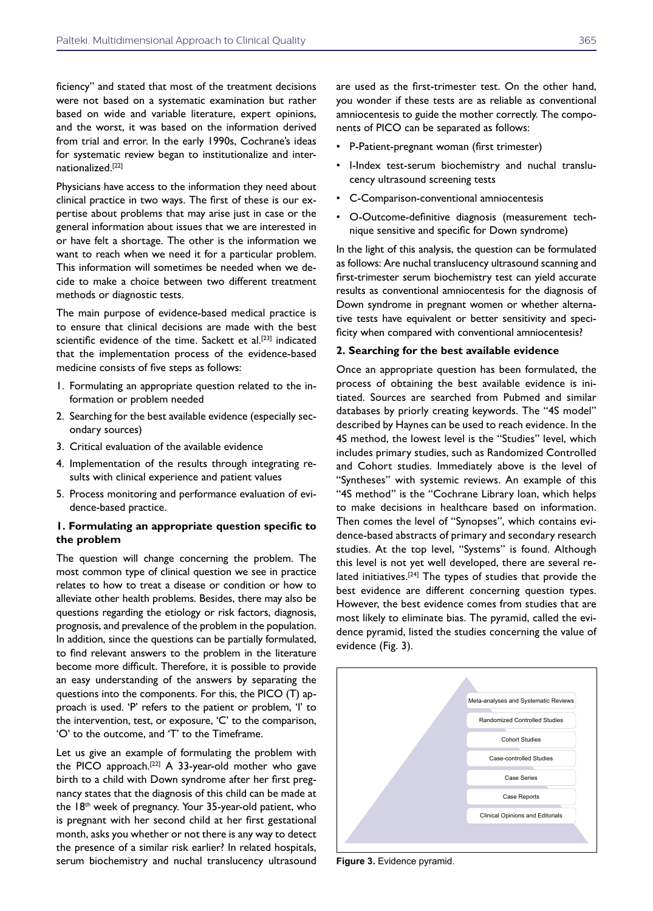ficiency" and stated that most of the treatment decisions were not based on a systematic examination but rather based on wide and variable literature, expert opinions, and the worst, it was based on the information derived from trial and error. In the early 1990s, Cochrane's ideas for systematic review began to institutionalize and internationalized.[22]

Physicians have access to the information they need about clinical practice in two ways. The first of these is our expertise about problems that may arise just in case or the general information about issues that we are interested in or have felt a shortage. The other is the information we want to reach when we need it for a particular problem. This information will sometimes be needed when we decide to make a choice between two different treatment methods or diagnostic tests.

The main purpose of evidence-based medical practice is to ensure that clinical decisions are made with the best scientific evidence of the time. Sackett et al.<sup>[23]</sup> indicated that the implementation process of the evidence-based medicine consists of five steps as follows:

- 1. Formulating an appropriate question related to the information or problem needed
- 2. Searching for the best available evidence (especially secondary sources)
- 3. Critical evaluation of the available evidence
- 4. Implementation of the results through integrating results with clinical experience and patient values
- 5. Process monitoring and performance evaluation of evidence-based practice.

#### **1. Formulating an appropriate question specific to the problem**

The question will change concerning the problem. The most common type of clinical question we see in practice relates to how to treat a disease or condition or how to alleviate other health problems. Besides, there may also be questions regarding the etiology or risk factors, diagnosis, prognosis, and prevalence of the problem in the population. In addition, since the questions can be partially formulated, to find relevant answers to the problem in the literature become more difficult. Therefore, it is possible to provide an easy understanding of the answers by separating the questions into the components. For this, the PICO (T) approach is used. 'P' refers to the patient or problem, 'I' to the intervention, test, or exposure, 'C' to the comparison, 'O' to the outcome, and 'T' to the Timeframe.

Let us give an example of formulating the problem with the PICO approach.[22] A 33-year-old mother who gave birth to a child with Down syndrome after her first pregnancy states that the diagnosis of this child can be made at the 18<sup>th</sup> week of pregnancy. Your 35-year-old patient, who is pregnant with her second child at her first gestational month, asks you whether or not there is any way to detect the presence of a similar risk earlier? In related hospitals, serum biochemistry and nuchal translucency ultrasound

are used as the first-trimester test. On the other hand, you wonder if these tests are as reliable as conventional amniocentesis to guide the mother correctly. The components of PICO can be separated as follows:

- P-Patient-pregnant woman (first trimester)
- I-Index test-serum biochemistry and nuchal translucency ultrasound screening tests
- C-Comparison-conventional amniocentesis
- O-Outcome-definitive diagnosis (measurement technique sensitive and specific for Down syndrome)

In the light of this analysis, the question can be formulated as follows: Are nuchal translucency ultrasound scanning and first-trimester serum biochemistry test can yield accurate results as conventional amniocentesis for the diagnosis of Down syndrome in pregnant women or whether alternative tests have equivalent or better sensitivity and specificity when compared with conventional amniocentesis?

#### **2. Searching for the best available evidence**

Once an appropriate question has been formulated, the process of obtaining the best available evidence is initiated. Sources are searched from Pubmed and similar databases by priorly creating keywords. The "4S model" described by Haynes can be used to reach evidence. In the 4S method, the lowest level is the "Studies" level, which includes primary studies, such as Randomized Controlled and Cohort studies. Immediately above is the level of "Syntheses" with systemic reviews. An example of this "4S method" is the "Cochrane Library loan, which helps to make decisions in healthcare based on information. Then comes the level of "Synopses", which contains evidence-based abstracts of primary and secondary research studies. At the top level, "Systems" is found. Although this level is not yet well developed, there are several related initiatives.<sup>[24]</sup> The types of studies that provide the best evidence are different concerning question types. However, the best evidence comes from studies that are most likely to eliminate bias. The pyramid, called the evidence pyramid, listed the studies concerning the value of evidence (Fig. 3).



**Figure 3.** Evidence pyramid.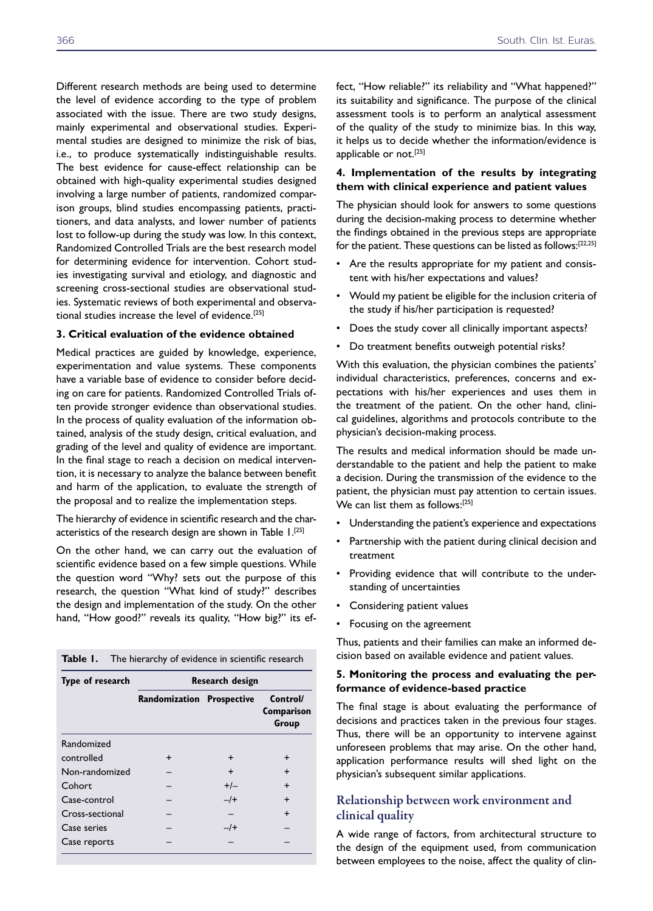Different research methods are being used to determine the level of evidence according to the type of problem associated with the issue. There are two study designs, mainly experimental and observational studies. Experimental studies are designed to minimize the risk of bias, i.e., to produce systematically indistinguishable results. The best evidence for cause-effect relationship can be obtained with high-quality experimental studies designed involving a large number of patients, randomized comparison groups, blind studies encompassing patients, practitioners, and data analysts, and lower number of patients lost to follow-up during the study was low. In this context, Randomized Controlled Trials are the best research model for determining evidence for intervention. Cohort studies investigating survival and etiology, and diagnostic and screening cross-sectional studies are observational studies. Systematic reviews of both experimental and observational studies increase the level of evidence.[25]

#### **3. Critical evaluation of the evidence obtained**

Medical practices are guided by knowledge, experience, experimentation and value systems. These components have a variable base of evidence to consider before deciding on care for patients. Randomized Controlled Trials often provide stronger evidence than observational studies. In the process of quality evaluation of the information obtained, analysis of the study design, critical evaluation, and grading of the level and quality of evidence are important. In the final stage to reach a decision on medical intervention, it is necessary to analyze the balance between benefit and harm of the application, to evaluate the strength of the proposal and to realize the implementation steps.

The hierarchy of evidence in scientific research and the characteristics of the research design are shown in Table 1.[25]

On the other hand, we can carry out the evaluation of scientific evidence based on a few simple questions. While the question word "Why? sets out the purpose of this research, the question "What kind of study?" describes the design and implementation of the study. On the other hand, "How good?" reveals its quality, "How big?" its ef-

| Table I. | The hierarchy of evidence in scientific research |
|----------|--------------------------------------------------|
|----------|--------------------------------------------------|

| Type of research | Research design                  |           |                                 |
|------------------|----------------------------------|-----------|---------------------------------|
|                  | <b>Randomization Prospective</b> |           | Control/<br>Comparison<br>Group |
| Randomized       |                                  |           |                                 |
| controlled       | $\div$                           | $\div$    | $\div$                          |
| Non-randomized   |                                  | $\ddot{}$ | $\ddot{}$                       |
| Cohort           |                                  | $+/-$     | $\ddot{}$                       |
| Case-control     |                                  | $-$ /+    | $\ddot{}$                       |
| Cross-sectional  |                                  |           | $\ddot{}$                       |
| Case series      |                                  | $-$ /+    |                                 |
| Case reports     |                                  |           |                                 |

fect, "How reliable?" its reliability and "What happened?" its suitability and significance. The purpose of the clinical assessment tools is to perform an analytical assessment of the quality of the study to minimize bias. In this way, it helps us to decide whether the information/evidence is applicable or not.<sup>[25]</sup>

#### **4. Implementation of the results by integrating them with clinical experience and patient values**

The physician should look for answers to some questions during the decision-making process to determine whether the findings obtained in the previous steps are appropriate for the patient. These questions can be listed as follows:[22,25]

- Are the results appropriate for my patient and consistent with his/her expectations and values?
- Would my patient be eligible for the inclusion criteria of the study if his/her participation is requested?
- Does the study cover all clinically important aspects?
- Do treatment benefits outweigh potential risks?

With this evaluation, the physician combines the patients' individual characteristics, preferences, concerns and expectations with his/her experiences and uses them in the treatment of the patient. On the other hand, clinical guidelines, algorithms and protocols contribute to the physician's decision-making process.

The results and medical information should be made understandable to the patient and help the patient to make a decision. During the transmission of the evidence to the patient, the physician must pay attention to certain issues. We can list them as follows:[25]

- Understanding the patient's experience and expectations
- Partnership with the patient during clinical decision and treatment
- Providing evidence that will contribute to the understanding of uncertainties
- Considering patient values
- Focusing on the agreement

Thus, patients and their families can make an informed decision based on available evidence and patient values.

#### **5. Monitoring the process and evaluating the performance of evidence-based practice**

The final stage is about evaluating the performance of decisions and practices taken in the previous four stages. Thus, there will be an opportunity to intervene against unforeseen problems that may arise. On the other hand, application performance results will shed light on the physician's subsequent similar applications.

# Relationship between work environment and clinical quality

A wide range of factors, from architectural structure to the design of the equipment used, from communication between employees to the noise, affect the quality of clin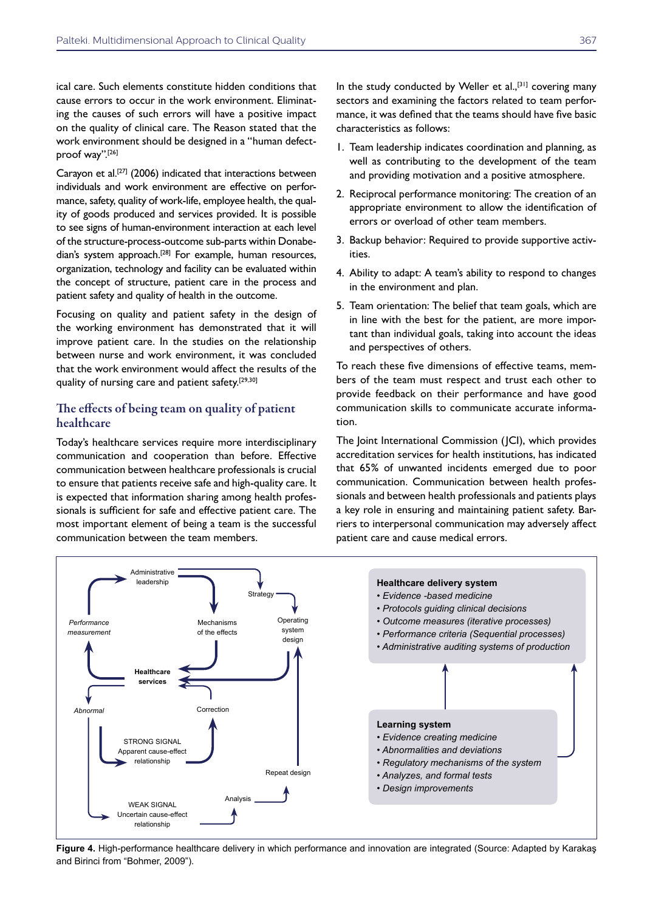ical care. Such elements constitute hidden conditions that cause errors to occur in the work environment. Eliminating the causes of such errors will have a positive impact on the quality of clinical care. The Reason stated that the work environment should be designed in a "human defectproof way".[26]

Carayon et al.<sup>[27]</sup> (2006) indicated that interactions between individuals and work environment are effective on performance, safety, quality of work-life, employee health, the quality of goods produced and services provided. It is possible to see signs of human-environment interaction at each level of the structure-process-outcome sub-parts within Donabedian's system approach.<sup>[28]</sup> For example, human resources, organization, technology and facility can be evaluated within the concept of structure, patient care in the process and patient safety and quality of health in the outcome.

Focusing on quality and patient safety in the design of the working environment has demonstrated that it will improve patient care. In the studies on the relationship between nurse and work environment, it was concluded that the work environment would affect the results of the quality of nursing care and patient safety.<sup>[29,30]</sup>

# The effects of being team on quality of patient healthcare

Today's healthcare services require more interdisciplinary communication and cooperation than before. Effective communication between healthcare professionals is crucial to ensure that patients receive safe and high-quality care. It is expected that information sharing among health professionals is sufficient for safe and effective patient care. The most important element of being a team is the successful communication between the team members.

In the study conducted by Weller et  $al$ ,  $[31]$  covering many sectors and examining the factors related to team performance, it was defined that the teams should have five basic characteristics as follows:

- 1. Team leadership indicates coordination and planning, as well as contributing to the development of the team and providing motivation and a positive atmosphere.
- 2. Reciprocal performance monitoring: The creation of an appropriate environment to allow the identification of errors or overload of other team members.
- 3. Backup behavior: Required to provide supportive activities.
- 4. Ability to adapt: A team's ability to respond to changes in the environment and plan.
- 5. Team orientation: The belief that team goals, which are in line with the best for the patient, are more important than individual goals, taking into account the ideas and perspectives of others.

To reach these five dimensions of effective teams, members of the team must respect and trust each other to provide feedback on their performance and have good communication skills to communicate accurate information.

The Joint International Commission (JCI), which provides accreditation services for health institutions, has indicated that 65% of unwanted incidents emerged due to poor communication. Communication between health professionals and between health professionals and patients plays a key role in ensuring and maintaining patient safety. Barriers to interpersonal communication may adversely affect patient care and cause medical errors.



**Figure 4.** High-performance healthcare delivery in which performance and innovation are integrated (Source: Adapted by Karakaş and Birinci from "Bohmer, 2009").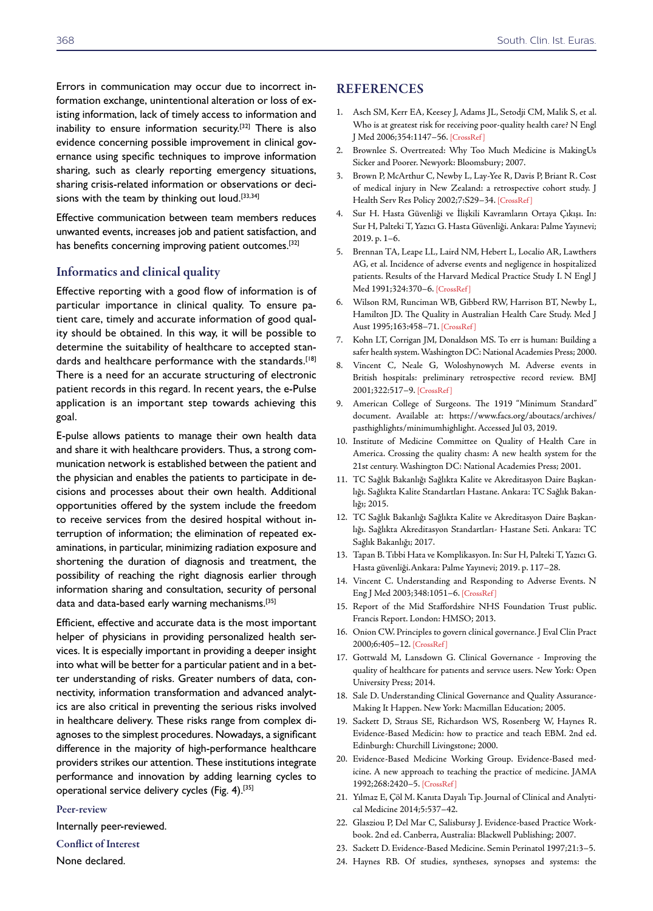Errors in communication may occur due to incorrect information exchange, unintentional alteration or loss of existing information, lack of timely access to information and inability to ensure information security.[32] There is also evidence concerning possible improvement in clinical governance using specific techniques to improve information sharing, such as clearly reporting emergency situations, sharing crisis-related information or observations or decisions with the team by thinking out loud.<sup>[33,34]</sup>

Effective communication between team members reduces unwanted events, increases job and patient satisfaction, and has benefits concerning improving patient outcomes.<sup>[32]</sup>

#### Informatics and clinical quality

Effective reporting with a good flow of information is of particular importance in clinical quality. To ensure patient care, timely and accurate information of good quality should be obtained. In this way, it will be possible to determine the suitability of healthcare to accepted standards and healthcare performance with the standards.<sup>[18]</sup> There is a need for an accurate structuring of electronic patient records in this regard. In recent years, the e-Pulse application is an important step towards achieving this goal.

E-pulse allows patients to manage their own health data and share it with healthcare providers. Thus, a strong communication network is established between the patient and the physician and enables the patients to participate in decisions and processes about their own health. Additional opportunities offered by the system include the freedom to receive services from the desired hospital without interruption of information; the elimination of repeated examinations, in particular, minimizing radiation exposure and shortening the duration of diagnosis and treatment, the possibility of reaching the right diagnosis earlier through information sharing and consultation, security of personal data and data-based early warning mechanisms.<sup>[35]</sup>

Efficient, effective and accurate data is the most important helper of physicians in providing personalized health services. It is especially important in providing a deeper insight into what will be better for a particular patient and in a better understanding of risks. Greater numbers of data, connectivity, information transformation and advanced analytics are also critical in preventing the serious risks involved in healthcare delivery. These risks range from complex diagnoses to the simplest procedures. Nowadays, a significant difference in the majority of high-performance healthcare providers strikes our attention. These institutions integrate performance and innovation by adding learning cycles to operational service delivery cycles (Fig. 4).[35]

#### Peer-review

Internally peer-reviewed.

## Conflict of Interest

None declared.

### **REFERENCES**

- 1. Asch SM, Kerr EA, Keesey J, Adams JL, Setodji CM, Malik S, et al. Who is at greatest risk for receiving poor-quality health care? N Engl J Med 2006;354:1147–5[6. \[CrossRef \]](https://doi.org/10.1056/NEJMsa044464)
- 2. Brownlee S. Overtreated: Why Too Much Medicine is MakingUs Sicker and Poorer. Newyork: Bloomsbury; 2007.
- 3. Brown P, McArthur C, Newby L, Lay-Yee R, Davis P, Briant R. Cost of medical injury in New Zealand: a retrospective cohort study. J Health Serv Res Policy 2002;7:S29–3[4. \[CrossRef \]](https://doi.org/10.1258/135581902320176449)
- 4. Sur H. Hasta Güvenliği ve İlişkili Kavramların Ortaya Çıkışı. In: Sur H, Palteki T, Yazıcı G. Hasta Güvenliği. Ankara: Palme Yayınevi; 2019. p. 1–6.
- 5. Brennan TA, Leape LL, Laird NM, Hebert L, Localio AR, Lawthers AG, et al. Incidence of adverse events and negligence in hospitalized patients. Results of the Harvard Medical Practice Study I. N Engl J Med 1991;324:370–6. [\[CrossRef \]](https://doi.org/10.1056/NEJM199102073240604)
- 6. Wilson RM, Runciman WB, Gibberd RW, Harrison BT, Newby L, Hamilton JD. The Quality in Australian Health Care Study. Med J Aust 1995;163:458–71. [\[CrossRef \]](https://doi.org/10.5694/j.1326-5377.1995.tb124691.x)
- 7. Kohn LT, Corrigan JM, Donaldson MS. To err is human: Building a safer health system. Washington DC: National Academies Press; 2000.
- 8. Vincent C, Neale G, Woloshynowych M. Adverse events in British hospitals: preliminary retrospective record review. BMJ 2001;322:517–9[. \[CrossRef \]](https://doi.org/10.1136/bmj.322.7285.517)
- 9. American College of Surgeons. The 1919 "Minimum Standard" document. Available at: https://www.facs.org/aboutacs/archives/ pasthighlights/minimumhighlight. Accessed Jul 03, 2019.
- 10. Institute of Medicine Committee on Quality of Health Care in America. Crossing the quality chasm: A new health system for the 21st century. Washington DC: National Academies Press; 2001.
- 11. TC Sağlık Bakanlığı Sağlıkta Kalite ve Akreditasyon Daire Başkanlığı. Sağlıkta Kalite Standartları Hastane. Ankara: TC Sağlık Bakanlığı; 2015.
- 12. TC Sağlık Bakanlığı Sağlıkta Kalite ve Akreditasyon Daire Başkanlığı. Sağlıkta Akreditasyon Standartları- Hastane Seti. Ankara: TC Sağlık Bakanlığı; 2017.
- 13. Tapan B. Tıbbi Hata ve Komplikasyon. In: Sur H, Palteki T, Yazıcı G. Hasta güvenliği.Ankara: Palme Yayınevi; 2019. p. 117–28.
- 14. Vincent C. Understanding and Responding to Adverse Events. N Eng J Med 2003;348:1051–6. [\[CrossRef \]](https://doi.org/10.1056/NEJMhpr020760)
- 15. Report of the Mid Staffordshire NHS Foundation Trust public. Francis Report. London: HMSO; 2013.
- 16. Onion CW. Principles to govern clinical governance. J Eval Clin Pract 2000;6:405–1[2. \[CrossRef \]](https://doi.org/10.1046/j.1365-2753.2000.00248.x)
- 17. Gottwald M, Lansdown G. Clinical Governance Improving the quality of healthcare for patıents and servıce users. New York: Open University Press; 2014.
- 18. Sale D. Understanding Clinical Governance and Quality Assurance-Making It Happen. New York: Macmillan Education; 2005.
- 19. Sackett D, Straus SE, Richardson WS, Rosenberg W, Haynes R. Evidence-Based Medicin: how to practice and teach EBM. 2nd ed. Edinburgh: Churchill Livingstone; 2000.
- 20. Evidence-Based Medicine Working Group. Evidence-Based medicine. A new approach to teaching the practice of medicine. JAMA 1992;268:2420–[5. \[CrossRef \]](https://doi.org/10.1001/jama.268.17.2420)
- 21. Yılmaz E, Çöl M. Kanıta Dayalı Tıp. Journal of Clinical and Analytical Medicine 2014;5:537–42.
- 22. Glasziou P, Del Mar C, Salisbursy J. Evidence-based Practice Workbook. 2nd ed. Canberra, Australia: Blackwell Publishing; 2007.
- 23. Sackett D. Evidence-Based Medicine. [Semin Perinatol 1997;21:3–5.](https://doi.org/10.1016/S0146-0005(97)80013-4)
- 24. Haynes RB. Of studies, syntheses, synopses and systems: the